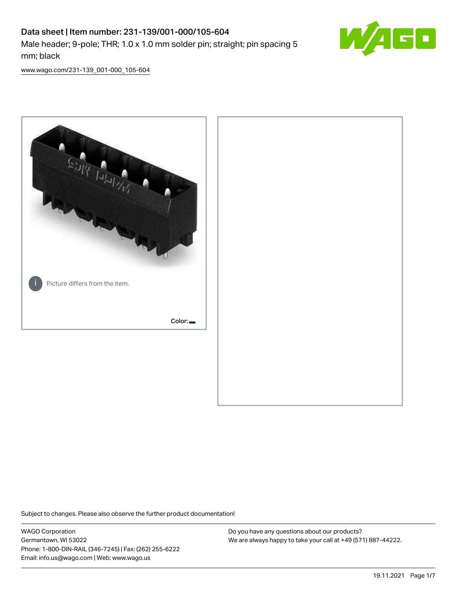# Data sheet | Item number: 231-139/001-000/105-604 Male header; 9-pole; THR; 1.0 x 1.0 mm solder pin; straight; pin spacing 5 mm; black



[www.wago.com/231-139\\_001-000\\_105-604](http://www.wago.com/231-139_001-000_105-604)



Subject to changes. Please also observe the further product documentation!

WAGO Corporation Germantown, WI 53022 Phone: 1-800-DIN-RAIL (346-7245) | Fax: (262) 255-6222 Email: info.us@wago.com | Web: www.wago.us

Do you have any questions about our products? We are always happy to take your call at +49 (571) 887-44222.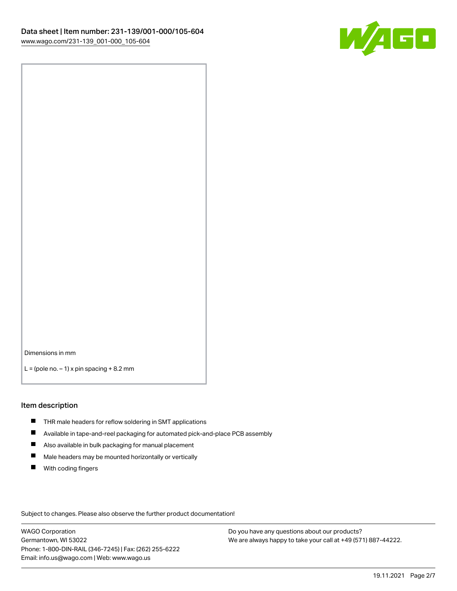

Dimensions in mm

 $L =$  (pole no.  $-1$ ) x pin spacing  $+8.2$  mm

#### Item description

- **THR** male headers for reflow soldering in SMT applications
- $\blacksquare$ Available in tape-and-reel packaging for automated pick-and-place PCB assembly
- $\blacksquare$ Also available in bulk packaging for manual placement
- $\blacksquare$ Male headers may be mounted horizontally or vertically
- **With coding fingers**

Subject to changes. Please also observe the further product documentation!

WAGO Corporation Germantown, WI 53022 Phone: 1-800-DIN-RAIL (346-7245) | Fax: (262) 255-6222 Email: info.us@wago.com | Web: www.wago.us

Do you have any questions about our products? We are always happy to take your call at +49 (571) 887-44222.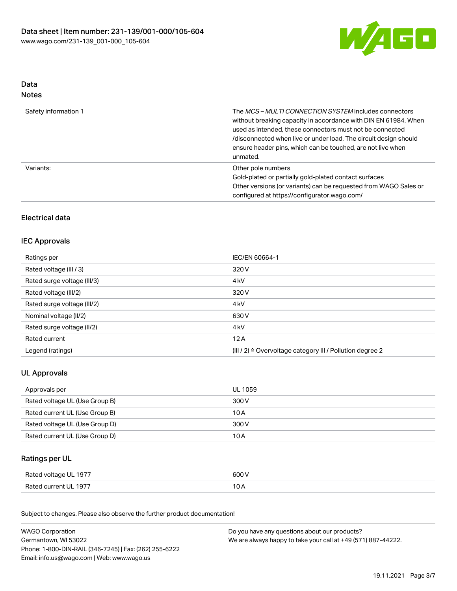

### Data Notes

| Safety information 1 | The MCS-MULTI CONNECTION SYSTEM includes connectors<br>without breaking capacity in accordance with DIN EN 61984. When<br>used as intended, these connectors must not be connected<br>/disconnected when live or under load. The circuit design should<br>ensure header pins, which can be touched, are not live when<br>unmated. |
|----------------------|-----------------------------------------------------------------------------------------------------------------------------------------------------------------------------------------------------------------------------------------------------------------------------------------------------------------------------------|
| Variants:            | Other pole numbers<br>Gold-plated or partially gold-plated contact surfaces<br>Other versions (or variants) can be requested from WAGO Sales or<br>configured at https://configurator.wago.com/                                                                                                                                   |

## Electrical data

### IEC Approvals

| Ratings per                 | IEC/EN 60664-1                                                        |
|-----------------------------|-----------------------------------------------------------------------|
| Rated voltage (III / 3)     | 320 V                                                                 |
| Rated surge voltage (III/3) | 4 <sub>k</sub> V                                                      |
| Rated voltage (III/2)       | 320 V                                                                 |
| Rated surge voltage (III/2) | 4 <sub>k</sub> V                                                      |
| Nominal voltage (II/2)      | 630 V                                                                 |
| Rated surge voltage (II/2)  | 4 <sub>k</sub> V                                                      |
| Rated current               | 12A                                                                   |
| Legend (ratings)            | $(III / 2)$ $\triangle$ Overvoltage category III / Pollution degree 2 |

### UL Approvals

| Approvals per                  | UL 1059 |
|--------------------------------|---------|
| Rated voltage UL (Use Group B) | 300 V   |
| Rated current UL (Use Group B) | 10 A    |
| Rated voltage UL (Use Group D) | 300 V   |
| Rated current UL (Use Group D) | 10 A    |

### Ratings per UL

| Rated voltage UL 1977 | 600 V |
|-----------------------|-------|
| Rated current UL 1977 | ∣ ∪ ⊬ |

| <b>WAGO Corporation</b>                                | Do you have any questions about our products?                 |
|--------------------------------------------------------|---------------------------------------------------------------|
| Germantown, WI 53022                                   | We are always happy to take your call at +49 (571) 887-44222. |
| Phone: 1-800-DIN-RAIL (346-7245)   Fax: (262) 255-6222 |                                                               |
| Email: info.us@wago.com   Web: www.wago.us             |                                                               |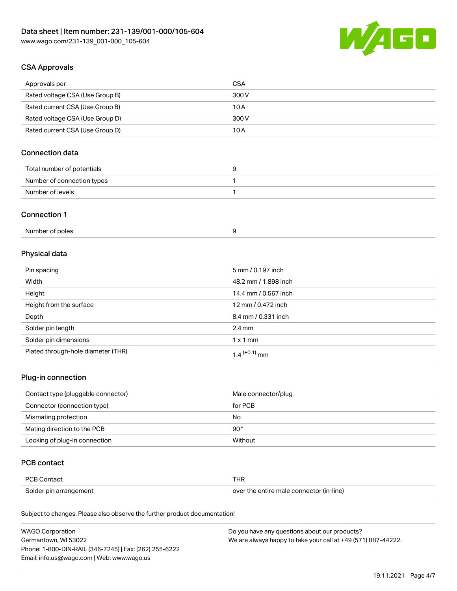

### CSA Approvals

| Approvals per                   | <b>CSA</b> |
|---------------------------------|------------|
| Rated voltage CSA (Use Group B) | 300 V      |
| Rated current CSA (Use Group B) | 10 A       |
| Rated voltage CSA (Use Group D) | 300 V      |
| Rated current CSA (Use Group D) | 10 A       |

### Connection data

| Total number of potentials |  |
|----------------------------|--|
| Number of connection types |  |
| Number of levels           |  |

#### Connection 1

| Number of poles |  |
|-----------------|--|
|-----------------|--|

## Physical data

| Pin spacing                        | 5 mm / 0.197 inch          |
|------------------------------------|----------------------------|
| Width                              | 48.2 mm / 1.898 inch       |
| Height                             | 14.4 mm / 0.567 inch       |
| Height from the surface            | 12 mm / 0.472 inch         |
| Depth                              | 8.4 mm / 0.331 inch        |
| Solder pin length                  | $2.4 \text{ mm}$           |
| Solder pin dimensions              | $1 \times 1$ mm            |
| Plated through-hole diameter (THR) | $1.4$ <sup>(+0.1)</sup> mm |

#### Plug-in connection

| Contact type (pluggable connector) | Male connector/plug |
|------------------------------------|---------------------|
| Connector (connection type)        | for PCB             |
| Mismating protection               | No                  |
| Mating direction to the PCB        | $90^{\circ}$        |
| Locking of plug-in connection      | Without             |

#### PCB contact

| <b>PCB Contact</b>     | THR                                      |
|------------------------|------------------------------------------|
| Solder pin arrangement | over the entire male connector (in-line) |

| <b>WAGO Corporation</b>                                | Do you have any questions about our products?                 |
|--------------------------------------------------------|---------------------------------------------------------------|
| Germantown, WI 53022                                   | We are always happy to take your call at +49 (571) 887-44222. |
| Phone: 1-800-DIN-RAIL (346-7245)   Fax: (262) 255-6222 |                                                               |
| Email: info.us@wago.com   Web: www.wago.us             |                                                               |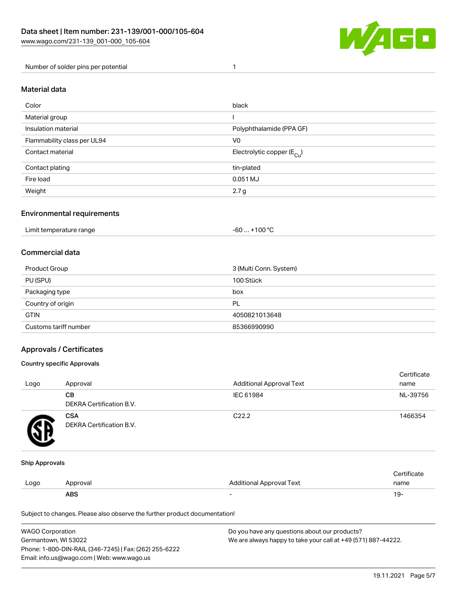

Number of solder pins per potential 1

#### Material data

| Color                       | black                                  |
|-----------------------------|----------------------------------------|
| Material group              |                                        |
| Insulation material         | Polyphthalamide (PPA GF)               |
| Flammability class per UL94 | V <sub>0</sub>                         |
| Contact material            | Electrolytic copper (E <sub>Cu</sub> ) |
| Contact plating             | tin-plated                             |
| Fire load                   | 0.051 MJ                               |
| Weight                      | 2.7 <sub>g</sub>                       |

#### Environmental requirements

Limit temperature range  $-60... +100$  °C

#### Commercial data

| Product Group         | 3 (Multi Conn. System) |
|-----------------------|------------------------|
| PU (SPU)              | 100 Stück              |
| Packaging type        | box                    |
| Country of origin     | PL                     |
| <b>GTIN</b>           | 4050821013648          |
| Customs tariff number | 85366990990            |

#### Approvals / Certificates

#### Country specific Approvals

| Logo | Approval                               | <b>Additional Approval Text</b> | Certificate<br>name |
|------|----------------------------------------|---------------------------------|---------------------|
|      | <b>CB</b><br>DEKRA Certification B.V.  | IEC 61984                       | NL-39756            |
|      | <b>CSA</b><br>DEKRA Certification B.V. | C <sub>22.2</sub>               | 1466354             |

#### Ship Approvals

|      | ABS      | -                        | ιУ۰         |
|------|----------|--------------------------|-------------|
| Logo | Approval | Additional Approval Text | name        |
|      |          |                          | ∵ertificate |

| <b>WAGO Corporation</b>                                | Do you have any questions about our products?                 |
|--------------------------------------------------------|---------------------------------------------------------------|
| Germantown, WI 53022                                   | We are always happy to take your call at +49 (571) 887-44222. |
| Phone: 1-800-DIN-RAIL (346-7245)   Fax: (262) 255-6222 |                                                               |
| Email: info.us@wago.com   Web: www.wago.us             |                                                               |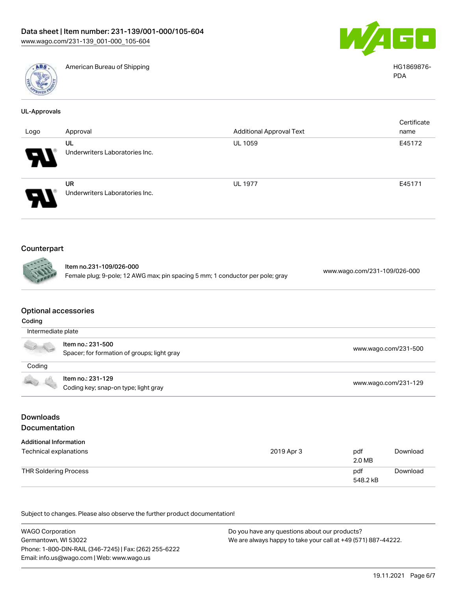

American Bureau of Shipping HG1869876-



PDA

| <b>UL-Approvals</b> |                                                                               |                                 |                              |  |
|---------------------|-------------------------------------------------------------------------------|---------------------------------|------------------------------|--|
| Logo                | Approval                                                                      | <b>Additional Approval Text</b> | Certificate<br>name          |  |
|                     | UL<br>Underwriters Laboratories Inc.                                          | <b>UL 1059</b>                  | E45172                       |  |
|                     | <b>UR</b><br>Underwriters Laboratories Inc.                                   | <b>UL 1977</b>                  | E45171                       |  |
| Counterpart<br>none | Item no.231-109/026-000                                                       |                                 |                              |  |
|                     | Female plug; 9-pole; 12 AWG max; pin spacing 5 mm; 1 conductor per pole; gray |                                 | www.wago.com/231-109/026-000 |  |

#### Optional accessories

| Coding                                                                                                                                                                                                                                                                                                                                              |                                                                  |                      |
|-----------------------------------------------------------------------------------------------------------------------------------------------------------------------------------------------------------------------------------------------------------------------------------------------------------------------------------------------------|------------------------------------------------------------------|----------------------|
| Intermediate plate                                                                                                                                                                                                                                                                                                                                  |                                                                  |                      |
| $\begin{picture}(20,20) \put(0,0){\line(1,0){10}} \put(15,0){\line(1,0){10}} \put(15,0){\line(1,0){10}} \put(15,0){\line(1,0){10}} \put(15,0){\line(1,0){10}} \put(15,0){\line(1,0){10}} \put(15,0){\line(1,0){10}} \put(15,0){\line(1,0){10}} \put(15,0){\line(1,0){10}} \put(15,0){\line(1,0){10}} \put(15,0){\line(1,0){10}} \put(15,0){\line(1$ | Item no.: 231-500<br>Spacer; for formation of groups; light gray | www.wago.com/231-500 |
| Coding                                                                                                                                                                                                                                                                                                                                              |                                                                  |                      |
|                                                                                                                                                                                                                                                                                                                                                     | Item no.: 231-129<br>Coding key; snap-on type; light gray        | www.wago.com/231-129 |

## Downloads Documentation

| <b>Additional Information</b><br>Technical explanations | 2019 Apr 3 | pdf<br>2.0 MB   | Download |
|---------------------------------------------------------|------------|-----------------|----------|
| THR Soldering Process                                   |            | pdf<br>548.2 kB | Download |

| <b>WAGO Corporation</b>                                | Do you have any questions about our products?                 |
|--------------------------------------------------------|---------------------------------------------------------------|
| Germantown, WI 53022                                   | We are always happy to take your call at +49 (571) 887-44222. |
| Phone: 1-800-DIN-RAIL (346-7245)   Fax: (262) 255-6222 |                                                               |
| Email: info.us@wago.com   Web: www.wago.us             |                                                               |